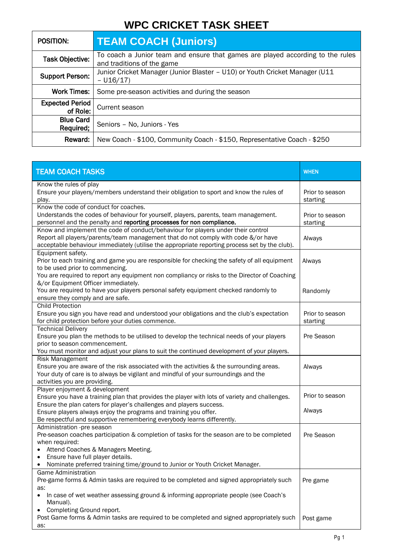# **WPC CRICKET TASK SHEET**

| <b>POSITION:</b>                   | <b>TEAM COACH (Juniors)</b>                                                                                  |
|------------------------------------|--------------------------------------------------------------------------------------------------------------|
| Task Objective:                    | To coach a Junior team and ensure that games are played according to the rules<br>and traditions of the game |
| <b>Support Person:</b>             | Junior Cricket Manager (Junior Blaster - U10) or Youth Cricket Manager (U11<br>$- U16/17$                    |
| <b>Work Times:</b>                 | Some pre-season activities and during the season                                                             |
| <b>Expected Period</b><br>of Role: | Current season                                                                                               |
| <b>Blue Card</b><br>Required;      | Seniors - No, Juniors - Yes                                                                                  |
| Reward:                            | New Coach - \$100, Community Coach - \$150, Representative Coach - \$250                                     |

| <b>TEAM COACH TASKS</b>                                                                                                                 | <b>WHEN</b>                 |
|-----------------------------------------------------------------------------------------------------------------------------------------|-----------------------------|
| Know the rules of play                                                                                                                  |                             |
| Ensure your players/members understand their obligation to sport and know the rules of                                                  | Prior to season             |
| play.                                                                                                                                   | starting                    |
| Know the code of conduct for coaches.<br>Understands the codes of behaviour for yourself, players, parents, team management.            |                             |
| personnel and the penalty and reporting processes for non compliance.                                                                   | Prior to season<br>starting |
| Know and implement the code of conduct/behaviour for players under their control                                                        |                             |
| Report all players/parents/team management that do not comply with code &/or have                                                       | Always                      |
| acceptable behaviour immediately (utilise the appropriate reporting process set by the club).                                           |                             |
| Equipment safety.                                                                                                                       |                             |
| Prior to each training and game you are responsible for checking the safety of all equipment                                            | Always                      |
| to be used prior to commencing.                                                                                                         |                             |
| You are required to report any equipment non compliancy or risks to the Director of Coaching                                            |                             |
| &/or Equipment Officer immediately.                                                                                                     |                             |
| You are required to have your players personal safety equipment checked randomly to                                                     | Randomly                    |
| ensure they comply and are safe.<br><b>Child Protection</b>                                                                             |                             |
| Ensure you sign you have read and understood your obligations and the club's expectation                                                | Prior to season             |
| for child protection before your duties commence.                                                                                       | starting                    |
| <b>Technical Delivery</b>                                                                                                               |                             |
| Ensure you plan the methods to be utilised to develop the technical needs of your players                                               | Pre Season                  |
| prior to season commencement.                                                                                                           |                             |
| You must monitor and adjust your plans to suit the continued development of your players.                                               |                             |
| <b>Risk Management</b>                                                                                                                  |                             |
| Ensure you are aware of the risk associated with the activities & the surrounding areas.                                                | Always                      |
| Your duty of care is to always be vigilant and mindful of your surroundings and the                                                     |                             |
| activities you are providing.                                                                                                           |                             |
| Player enjoyment & development                                                                                                          | Prior to season             |
| Ensure you have a training plan that provides the player with lots of variety and challenges.                                           |                             |
| Ensure the plan caters for player's challenges and players success.<br>Ensure players always enjoy the programs and training you offer. | Always                      |
| Be respectful and supportive remembering everybody learns differently.                                                                  |                             |
| Administration -pre season                                                                                                              |                             |
| Pre-season coaches participation & completion of tasks for the season are to be completed                                               | Pre Season                  |
| when required:                                                                                                                          |                             |
| Attend Coaches & Managers Meeting.                                                                                                      |                             |
| Ensure have full player details.                                                                                                        |                             |
| Nominate preferred training time/ground to Junior or Youth Cricket Manager.                                                             |                             |
| <b>Game Administration</b>                                                                                                              |                             |
| Pre-game forms & Admin tasks are required to be completed and signed appropriately such                                                 | Pre game                    |
| as:                                                                                                                                     |                             |
| In case of wet weather assessing ground & informing appropriate people (see Coach's<br>Manual).                                         |                             |
| Completing Ground report.                                                                                                               |                             |
| Post Game forms & Admin tasks are required to be completed and signed appropriately such                                                | Post game                   |
| as:                                                                                                                                     |                             |